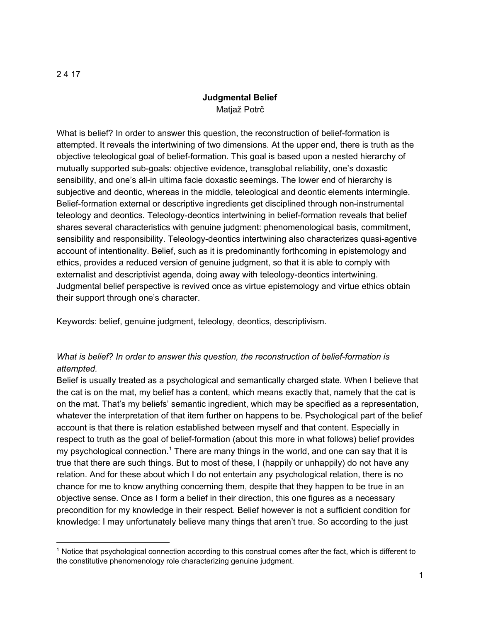#### 2 4 17

# **Judgmental Belief** Matjaž Potrč

What is belief? In order to answer this question, the reconstruction of belief-formation is attempted. It reveals the intertwining of two dimensions. At the upper end, there is truth as the objective teleological goal of belief-formation. This goal is based upon a nested hierarchy of mutually supported sub-goals: objective evidence, transglobal reliability, one's doxastic sensibility, and one's all-in ultima facie doxastic seemings. The lower end of hierarchy is subjective and deontic, whereas in the middle, teleological and deontic elements intermingle. Belief-formation external or descriptive ingredients get disciplined through non-instrumental teleology and deontics. Teleology-deontics intertwining in belief-formation reveals that belief shares several characteristics with genuine judgment: phenomenological basis, commitment, sensibility and responsibility. Teleology-deontics intertwining also characterizes quasi-agentive account of intentionality. Belief, such as it is predominantly forthcoming in epistemology and ethics, provides a reduced version of genuine judgment, so that it is able to comply with externalist and descriptivist agenda, doing away with teleology-deontics intertwining. Judgmental belief perspective is revived once as virtue epistemology and virtue ethics obtain their support through one's character.

Keywords: belief, genuine judgment, teleology, deontics, descriptivism.

# *What is belief? In order to answer this question, the reconstruction of belief-formation is attempted.*

Belief is usually treated as a psychological and semantically charged state. When I believe that the cat is on the mat, my belief has a content, which means exactly that, namely that the cat is on the mat. That's my beliefs' semantic ingredient, which may be specified as a representation, whatever the interpretation of that item further on happens to be. Psychological part of the belief account is that there is relation established between myself and that content. Especially in respect to truth as the goal of belief-formation (about this more in what follows) belief provides my psychological connection.<sup>1</sup> There are many things in the world, and one can say that it is true that there are such things. But to most of these, I (happily or unhappily) do not have any relation. And for these about which I do not entertain any psychological relation, there is no chance for me to know anything concerning them, despite that they happen to be true in an objective sense. Once as I form a belief in their direction, this one figures as a necessary precondition for my knowledge in their respect. Belief however is not a sufficient condition for knowledge: I may unfortunately believe many things that aren't true. So according to the just

<sup>&</sup>lt;sup>1</sup> Notice that psychological connection according to this construal comes after the fact, which is different to the constitutive phenomenology role characterizing genuine judgment.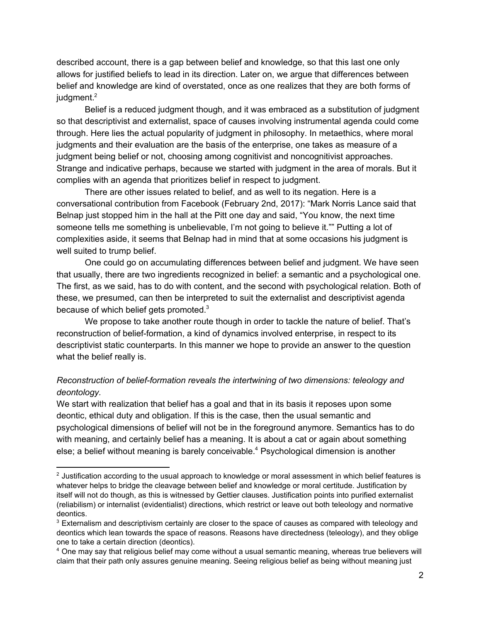described account, there is a gap between belief and knowledge, so that this last one only allows for justified beliefs to lead in its direction. Later on, we argue that differences between belief and knowledge are kind of overstated, once as one realizes that they are both forms of  $i$ udament. $2$ 

Belief is a reduced judgment though, and it was embraced as a substitution of judgment so that descriptivist and externalist, space of causes involving instrumental agenda could come through. Here lies the actual popularity of judgment in philosophy. In metaethics, where moral judgments and their evaluation are the basis of the enterprise, one takes as measure of a judgment being belief or not, choosing among cognitivist and noncognitivist approaches. Strange and indicative perhaps, because we started with judgment in the area of morals. But it complies with an agenda that prioritizes belief in respect to judgment.

There are other issues related to belief, and as well to its negation. Here is a conversational contribution from Facebook (February 2nd, 2017): "Mark Norris Lance said that Belnap just stopped him in the hall at the Pitt one day and said, "You know, the next time someone tells me something is unbelievable, I'm not going to believe it."" Putting a lot of complexities aside, it seems that Belnap had in mind that at some occasions his judgment is well suited to trump belief.

One could go on accumulating differences between belief and judgment. We have seen that usually, there are two ingredients recognized in belief: a semantic and a psychological one. The first, as we said, has to do with content, and the second with psychological relation. Both of these, we presumed, can then be interpreted to suit the externalist and descriptivist agenda because of which belief gets promoted.<sup>3</sup>

We propose to take another route though in order to tackle the nature of belief. That's reconstruction of belief-formation, a kind of dynamics involved enterprise, in respect to its descriptivist static counterparts. In this manner we hope to provide an answer to the question what the belief really is.

# *Reconstruction of belief-formation reveals the intertwining of two dimensions: teleology and deontology.*

We start with realization that belief has a goal and that in its basis it reposes upon some deontic, ethical duty and obligation. If this is the case, then the usual semantic and psychological dimensions of belief will not be in the foreground anymore. Semantics has to do with meaning, and certainly belief has a meaning. It is about a cat or again about something else; a belief without meaning is barely conceivable.<sup>4</sup> Psychological dimension is another

 $^2$  Justification according to the usual approach to knowledge or moral assessment in which belief features is whatever helps to bridge the cleavage between belief and knowledge or moral certitude. Justification by itself will not do though, as this is witnessed by Gettier clauses. Justification points into purified externalist (reliabilism) or internalist (evidentialist) directions, which restrict or leave out both teleology and normative deontics.

 $3$  Externalism and descriptivism certainly are closer to the space of causes as compared with teleology and deontics which lean towards the space of reasons. Reasons have directedness (teleology), and they oblige one to take a certain direction (deontics).

<sup>4</sup> One may say that religious belief may come without a usual semantic meaning, whereas true believers will claim that their path only assures genuine meaning. Seeing religious belief as being without meaning just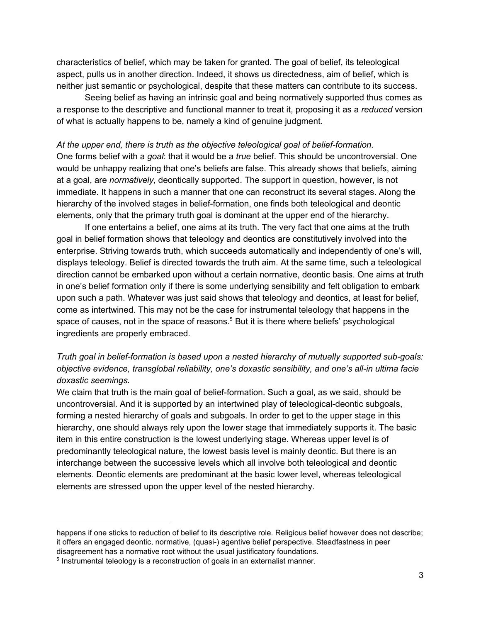characteristics of belief, which may be taken for granted. The goal of belief, its teleological aspect, pulls us in another direction. Indeed, it shows us directedness, aim of belief, which is neither just semantic or psychological, despite that these matters can contribute to its success.

Seeing belief as having an intrinsic goal and being normatively supported thus comes as a response to the descriptive and functional manner to treat it, proposing it as a *reduced* version of what is actually happens to be, namely a kind of genuine judgment.

*At the upper end, there is truth as the objective teleological goal of belief-formation.* One forms belief with a *goal*: that it would be a *true* belief. This should be uncontroversial. One would be unhappy realizing that one's beliefs are false. This already shows that beliefs, aiming at a goal, are *normatively*, deontically supported. The support in question, however, is not immediate. It happens in such a manner that one can reconstruct its several stages. Along the hierarchy of the involved stages in belief-formation, one finds both teleological and deontic elements, only that the primary truth goal is dominant at the upper end of the hierarchy.

If one entertains a belief, one aims at its truth. The very fact that one aims at the truth goal in belief formation shows that teleology and deontics are constitutively involved into the enterprise. Striving towards truth, which succeeds automatically and independently of one's will, displays teleology. Belief is directed towards the truth aim. At the same time, such a teleological direction cannot be embarked upon without a certain normative, deontic basis. One aims at truth in one's belief formation only if there is some underlying sensibility and felt obligation to embark upon such a path. Whatever was just said shows that teleology and deontics, at least for belief, come as intertwined. This may not be the case for instrumental teleology that happens in the space of causes, not in the space of reasons. $<sup>5</sup>$  But it is there where beliefs' psychological</sup> ingredients are properly embraced.

# *Truth goal in belief-formation is based upon a nested hierarchy of mutually supported sub-goals: objective evidence, transglobal reliability, one's doxastic sensibility, and one's all-in ultima facie doxastic seemings.*

We claim that truth is the main goal of belief-formation. Such a goal, as we said, should be uncontroversial. And it is supported by an intertwined play of teleological-deontic subgoals, forming a nested hierarchy of goals and subgoals. In order to get to the upper stage in this hierarchy, one should always rely upon the lower stage that immediately supports it. The basic item in this entire construction is the lowest underlying stage. Whereas upper level is of predominantly teleological nature, the lowest basis level is mainly deontic. But there is an interchange between the successive levels which all involve both teleological and deontic elements. Deontic elements are predominant at the basic lower level, whereas teleological elements are stressed upon the upper level of the nested hierarchy.

happens if one sticks to reduction of belief to its descriptive role. Religious belief however does not describe; it offers an engaged deontic, normative, (quasi-) agentive belief perspective. Steadfastness in peer disagreement has a normative root without the usual justificatory foundations.

<sup>&</sup>lt;sup>5</sup> Instrumental teleology is a reconstruction of goals in an externalist manner.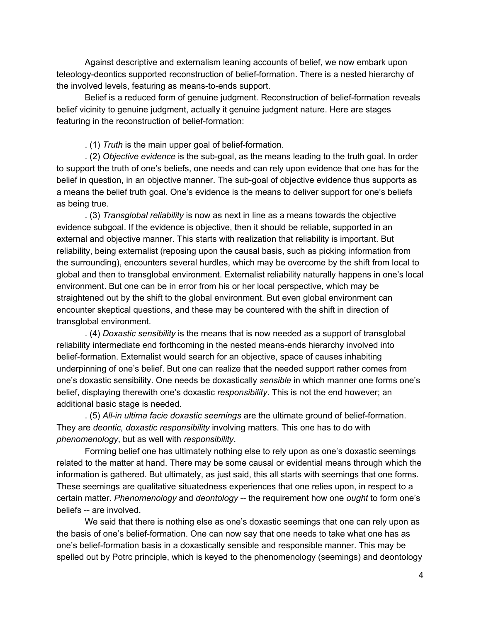Against descriptive and externalism leaning accounts of belief, we now embark upon teleology-deontics supported reconstruction of belief-formation. There is a nested hierarchy of the involved levels, featuring as means-to-ends support.

Belief is a reduced form of genuine judgment. Reconstruction of belief-formation reveals belief vicinity to genuine judgment, actually it genuine judgment nature. Here are stages featuring in the reconstruction of belief-formation:

. (1) *Truth* is the main upper goal of belief-formation.

. (2) *Objective evidence* is the sub-goal, as the means leading to the truth goal. In order to support the truth of one's beliefs, one needs and can rely upon evidence that one has for the belief in question, in an objective manner. The sub-goal of objective evidence thus supports as a means the belief truth goal. One's evidence is the means to deliver support for one's beliefs as being true.

. (3) *Transglobal reliability* is now as next in line as a means towards the objective evidence subgoal. If the evidence is objective, then it should be reliable, supported in an external and objective manner. This starts with realization that reliability is important. But reliability, being externalist (reposing upon the causal basis, such as picking information from the surrounding), encounters several hurdles, which may be overcome by the shift from local to global and then to transglobal environment. Externalist reliability naturally happens in one's local environment. But one can be in error from his or her local perspective, which may be straightened out by the shift to the global environment. But even global environment can encounter skeptical questions, and these may be countered with the shift in direction of transglobal environment.

. (4) *Doxastic sensibility* is the means that is now needed as a support of transglobal reliability intermediate end forthcoming in the nested means-ends hierarchy involved into belief-formation. Externalist would search for an objective, space of causes inhabiting underpinning of one's belief. But one can realize that the needed support rather comes from one's doxastic sensibility. One needs be doxastically *sensible* in which manner one forms one's belief, displaying therewith one's doxastic *responsibility*. This is not the end however; an additional basic stage is needed.

. (5) *All-in ultima facie doxastic seemings* are the ultimate ground of belief-formation. They are *deontic, doxastic responsibility* involving matters. This one has to do with *phenomenology*, but as well with *responsibility*.

Forming belief one has ultimately nothing else to rely upon as one's doxastic seemings related to the matter at hand. There may be some causal or evidential means through which the information is gathered. But ultimately, as just said, this all starts with seemings that one forms. These seemings are qualitative situatedness experiences that one relies upon, in respect to a certain matter. *Phenomenology* and *deontology* -- the requirement how one *ought* to form one's beliefs -- are involved.

We said that there is nothing else as one's doxastic seemings that one can rely upon as the basis of one's belief-formation. One can now say that one needs to take what one has as one's belief-formation basis in a doxastically sensible and responsible manner. This may be spelled out by Potrc principle, which is keyed to the phenomenology (seemings) and deontology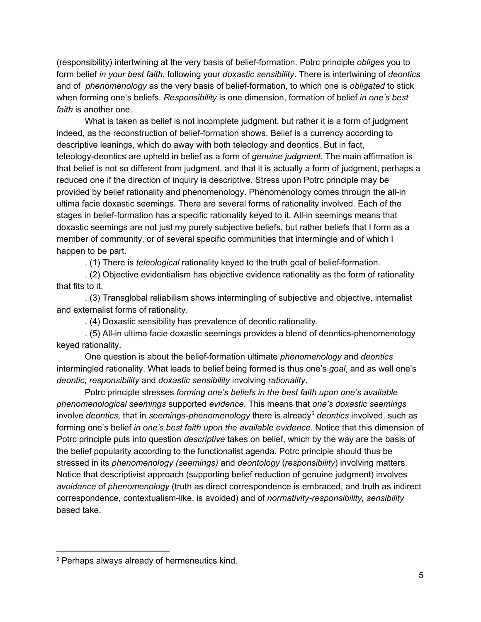(responsibility) intertwining at the very basis of belief-formation. Potrc principle *obliges* you to form belief *in your best faith*, following your *doxastic sensibility*. There is intertwining of *deontics* and of *phenomenology* as the very basis of belief-formation, to which one is *obligated* to stick when forming one's beliefs. *Responsibility* is one dimension, formation of belief *in one's best faith* is another one.

What is taken as belief is not incomplete judgment, but rather it is a form of judgment indeed, as the reconstruction of belief-formation shows. Belief is a currency according to descriptive leanings, which do away with both teleology and deontics. But in fact, teleology-deontics are upheld in belief as a form of *genuine judgment*. The main affirmation is that belief is not so different from judgment, and that it is actually a form of judgment, perhaps a reduced one if the direction of inquiry is descriptive. Stress upon Potrc principle may be provided by belief rationality and phenomenology. Phenomenology comes through the all-in ultima facie doxastic seemings. There are several forms of rationality involved. Each of the stages in belief-formation has a specific rationality keyed to it. All-in seemings means that doxastic seemings are not just my purely subjective beliefs, but rather beliefs that I form as a member of community, or of several specific communities that intermingle and of which I happen to be part.

. (1) There is *teleological* rationality keyed to the truth goal of belief-formation.

. (2) Objective evidentialism has objective evidence rationality as the form of rationality that fits to it.

. (3) Transglobal reliabilism shows intermingling of subjective and objective, internalist and externalist forms of rationality.

. (4) Doxastic sensibility has prevalence of deontic rationality.

. (5) All-in ultima facie doxastic seemings provides a blend of deontics-phenomenology keyed rationality.

One question is about the belief-formation ultimate *phenomenology* and *deontics* intermingled rationality. What leads to belief being formed is thus one's *goal*, and as well one's *deontic*, *responsibility* and *doxastic sensibility* involving *rationality*.

Potrc principle stresses *forming one's beliefs in the best faith upon one's available phenomenological seemings* supported *evidence*. This means that *one's doxastic seemings* involve *deontics*, that in *seemings-phenomenology* there is already<sup>6</sup> deontics involved, such as forming one's belief *in one's best faith upon the available evidence*. Notice that this dimension of Potrc principle puts into question *descriptive* takes on belief, which by the way are the basis of the belief popularity according to the functionalist agenda. Potrc principle should thus be stressed in its *phenomenology (seemings)* and *deontology* (*responsibility*) involving matters. Notice that descriptivist approach (supporting belief reduction of genuine judgment) involves *avoidance* of *phenomenology* (truth as direct correspondence is embraced, and truth as indirect correspondence, contextualism-like, is avoided) and of *normativity-responsibility, sensibility* based take.

<sup>&</sup>lt;sup>6</sup> Perhaps always already of hermeneutics kind.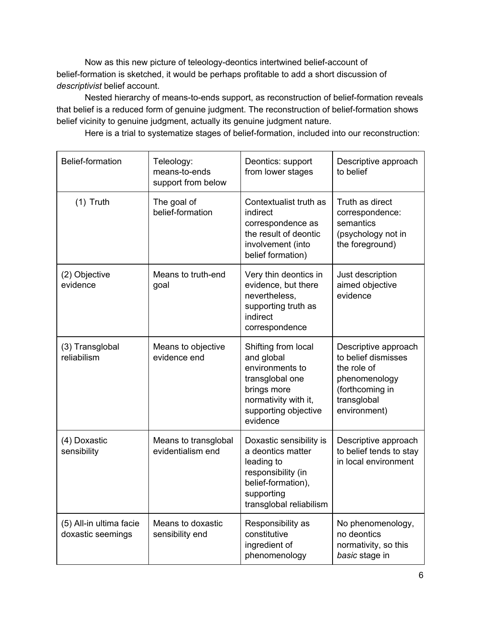Now as this new picture of teleology-deontics intertwined belief-account of belief-formation is sketched, it would be perhaps profitable to add a short discussion of *descriptivist* belief account.

Nested hierarchy of means-to-ends support, as reconstruction of belief-formation reveals that belief is a reduced form of genuine judgment. The reconstruction of belief-formation shows belief vicinity to genuine judgment, actually its genuine judgment nature.

Here is a trial to systematize stages of belief-formation, included into our reconstruction:

| Belief-formation                             | Teleology:<br>means-to-ends<br>support from below | Deontics: support<br>from lower stages                                                                                                             | Descriptive approach<br>to belief                                                                                             |
|----------------------------------------------|---------------------------------------------------|----------------------------------------------------------------------------------------------------------------------------------------------------|-------------------------------------------------------------------------------------------------------------------------------|
| $(1)$ Truth                                  | The goal of<br>belief-formation                   | Contextualist truth as<br>indirect<br>correspondence as<br>the result of deontic<br>involvement (into<br>belief formation)                         | Truth as direct<br>correspondence:<br>semantics<br>(psychology not in<br>the foreground)                                      |
| (2) Objective<br>evidence                    | Means to truth-end<br>goal                        | Very thin deontics in<br>evidence, but there<br>nevertheless,<br>supporting truth as<br>indirect<br>correspondence                                 | Just description<br>aimed objective<br>evidence                                                                               |
| (3) Transglobal<br>reliabilism               | Means to objective<br>evidence end                | Shifting from local<br>and global<br>environments to<br>transglobal one<br>brings more<br>normativity with it,<br>supporting objective<br>evidence | Descriptive approach<br>to belief dismisses<br>the role of<br>phenomenology<br>(forthcoming in<br>transglobal<br>environment) |
| (4) Doxastic<br>sensibility                  | Means to transglobal<br>evidentialism end         | Doxastic sensibility is<br>a deontics matter<br>leading to<br>responsibility (in<br>belief-formation),<br>supporting<br>transglobal reliabilism    | Descriptive approach<br>to belief tends to stay<br>in local environment                                                       |
| (5) All-in ultima facie<br>doxastic seemings | Means to doxastic<br>sensibility end              | Responsibility as<br>constitutive<br>ingredient of<br>phenomenology                                                                                | No phenomenology,<br>no deontics<br>normativity, so this<br>basic stage in                                                    |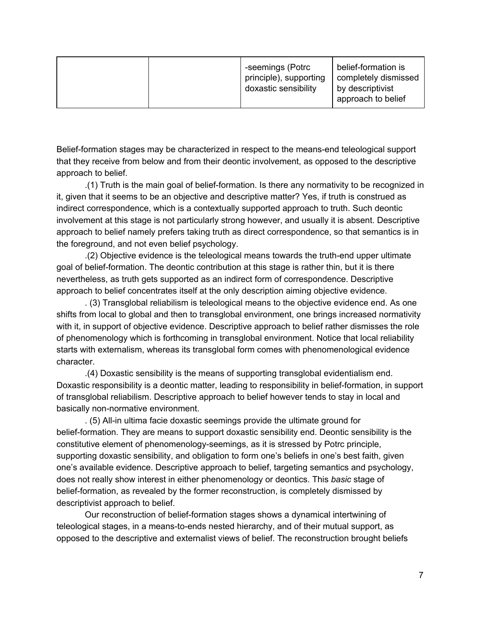|  | -seemings (Potrc<br>principle), supporting<br>doxastic sensibility | belief-formation is<br>completely dismissed<br>by descriptivist<br>approach to belief |
|--|--------------------------------------------------------------------|---------------------------------------------------------------------------------------|
|--|--------------------------------------------------------------------|---------------------------------------------------------------------------------------|

Belief-formation stages may be characterized in respect to the means-end teleological support that they receive from below and from their deontic involvement, as opposed to the descriptive approach to belief.

.(1) Truth is the main goal of belief-formation. Is there any normativity to be recognized in it, given that it seems to be an objective and descriptive matter? Yes, if truth is construed as indirect correspondence, which is a contextually supported approach to truth. Such deontic involvement at this stage is not particularly strong however, and usually it is absent. Descriptive approach to belief namely prefers taking truth as direct correspondence, so that semantics is in the foreground, and not even belief psychology.

.(2) Objective evidence is the teleological means towards the truth-end upper ultimate goal of belief-formation. The deontic contribution at this stage is rather thin, but it is there nevertheless, as truth gets supported as an indirect form of correspondence. Descriptive approach to belief concentrates itself at the only description aiming objective evidence.

. (3) Transglobal reliabilism is teleological means to the objective evidence end. As one shifts from local to global and then to transglobal environment, one brings increased normativity with it, in support of objective evidence. Descriptive approach to belief rather dismisses the role of phenomenology which is forthcoming in transglobal environment. Notice that local reliability starts with externalism, whereas its transglobal form comes with phenomenological evidence character.

.(4) Doxastic sensibility is the means of supporting transglobal evidentialism end. Doxastic responsibility is a deontic matter, leading to responsibility in belief-formation, in support of transglobal reliabilism. Descriptive approach to belief however tends to stay in local and basically non-normative environment.

. (5) All-in ultima facie doxastic seemings provide the ultimate ground for belief-formation. They are means to support doxastic sensibility end. Deontic sensibility is the constitutive element of phenomenology-seemings, as it is stressed by Potrc principle, supporting doxastic sensibility, and obligation to form one's beliefs in one's best faith, given one's available evidence. Descriptive approach to belief, targeting semantics and psychology, does not really show interest in either phenomenology or deontics. This *basic* stage of belief-formation, as revealed by the former reconstruction, is completely dismissed by descriptivist approach to belief.

Our reconstruction of belief-formation stages shows a dynamical intertwining of teleological stages, in a means-to-ends nested hierarchy, and of their mutual support, as opposed to the descriptive and externalist views of belief. The reconstruction brought beliefs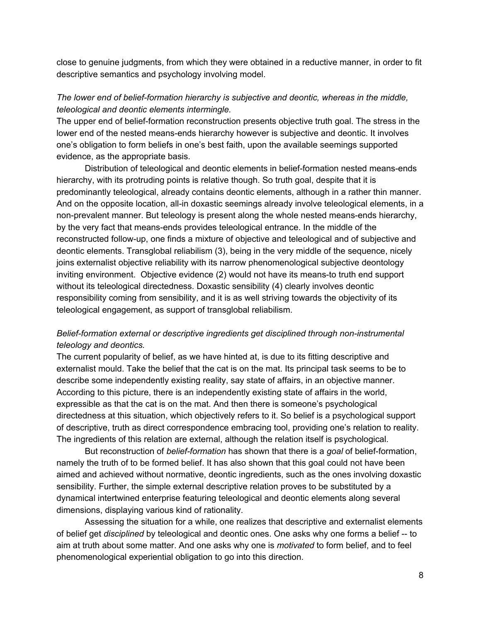close to genuine judgments, from which they were obtained in a reductive manner, in order to fit descriptive semantics and psychology involving model.

### *The lower end of belief-formation hierarchy is subjective and deontic, whereas in the middle, teleological and deontic elements intermingle.*

The upper end of belief-formation reconstruction presents objective truth goal. The stress in the lower end of the nested means-ends hierarchy however is subjective and deontic. It involves one's obligation to form beliefs in one's best faith, upon the available seemings supported evidence, as the appropriate basis.

Distribution of teleological and deontic elements in belief-formation nested means-ends hierarchy, with its protruding points is relative though. So truth goal, despite that it is predominantly teleological, already contains deontic elements, although in a rather thin manner. And on the opposite location, all-in doxastic seemings already involve teleological elements, in a non-prevalent manner. But teleology is present along the whole nested means-ends hierarchy, by the very fact that means-ends provides teleological entrance. In the middle of the reconstructed follow-up, one finds a mixture of objective and teleological and of subjective and deontic elements. Transglobal reliabilism (3), being in the very middle of the sequence, nicely joins externalist objective reliability with its narrow phenomenological subjective deontology inviting environment. Objective evidence (2) would not have its means-to truth end support without its teleological directedness. Doxastic sensibility (4) clearly involves deontic responsibility coming from sensibility, and it is as well striving towards the objectivity of its teleological engagement, as support of transglobal reliabilism.

# *Belief-formation external or descriptive ingredients get disciplined through non-instrumental teleology and deontics.*

The current popularity of belief, as we have hinted at, is due to its fitting descriptive and externalist mould. Take the belief that the cat is on the mat. Its principal task seems to be to describe some independently existing reality, say state of affairs, in an objective manner. According to this picture, there is an independently existing state of affairs in the world, expressible as that the cat is on the mat. And then there is someone's psychological directedness at this situation, which objectively refers to it. So belief is a psychological support of descriptive, truth as direct correspondence embracing tool, providing one's relation to reality. The ingredients of this relation are external, although the relation itself is psychological.

But reconstruction of *belief-formation* has shown that there is a *goal* of belief-formation, namely the truth of to be formed belief. It has also shown that this goal could not have been aimed and achieved without normative, deontic ingredients, such as the ones involving doxastic sensibility. Further, the simple external descriptive relation proves to be substituted by a dynamical intertwined enterprise featuring teleological and deontic elements along several dimensions, displaying various kind of rationality.

Assessing the situation for a while, one realizes that descriptive and externalist elements of belief get *disciplined* by teleological and deontic ones. One asks why one forms a belief -- to aim at truth about some matter. And one asks why one is *motivated* to form belief, and to feel phenomenological experiential obligation to go into this direction.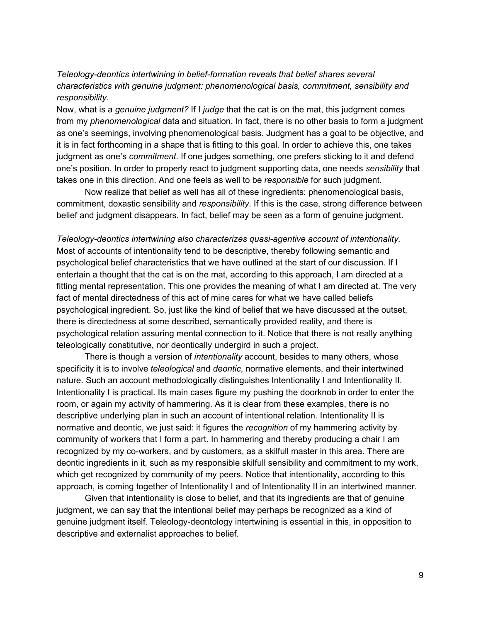# *Teleology-deontics intertwining in belief-formation reveals that belief shares several characteristics with genuine judgment: phenomenological basis, commitment, sensibility and responsibility.*

Now, what is a *genuine judgment?* If I *judge* that the cat is on the mat, this judgment comes from my *phenomenological* data and situation. In fact, there is no other basis to form a judgment as one's seemings, involving phenomenological basis. Judgment has a goal to be objective, and it is in fact forthcoming in a shape that is fitting to this goal. In order to achieve this, one takes judgment as one's *commitment*. If one judges something, one prefers sticking to it and defend one's position. In order to properly react to judgment supporting data, one needs *sensibility* that takes one in this direction. And one feels as well to be *responsible* for such judgment.

Now realize that belief as well has all of these ingredients: phenomenological basis, commitment, doxastic sensibility and *responsibility*. If this is the case, strong difference between belief and judgment disappears. In fact, belief may be seen as a form of genuine judgment.

*Teleology-deontics intertwining also characterizes quasi-agentive account of intentionality.* Most of accounts of intentionality tend to be descriptive, thereby following semantic and psychological belief characteristics that we have outlined at the start of our discussion. If I entertain a thought that the cat is on the mat, according to this approach, I am directed at a fitting mental representation. This one provides the meaning of what I am directed at. The very fact of mental directedness of this act of mine cares for what we have called beliefs psychological ingredient. So, just like the kind of belief that we have discussed at the outset, there is directedness at some described, semantically provided reality, and there is psychological relation assuring mental connection to it. Notice that there is not really anything teleologically constitutive, nor deontically undergird in such a project.

There is though a version of *intentionality* account, besides to many others, whose specificity it is to involve *teleological* and *deontic*, normative elements, and their intertwined nature. Such an account methodologically distinguishes Intentionality I and Intentionality II. Intentionality I is practical. Its main cases figure my pushing the doorknob in order to enter the room, or again my activity of hammering. As it is clear from these examples, there is no descriptive underlying plan in such an account of intentional relation. Intentionality II is normative and deontic, we just said: it figures the *recognition* of my hammering activity by community of workers that I form a part. In hammering and thereby producing a chair I am recognized by my co-workers, and by customers, as a skilfull master in this area. There are deontic ingredients in it, such as my responsible skilfull sensibility and commitment to my work, which get recognized by community of my peers. Notice that intentionality, according to this approach, is coming together of Intentionality I and of Intentionality II in an intertwined manner.

Given that intentionality is close to belief, and that its ingredients are that of genuine judgment, we can say that the intentional belief may perhaps be recognized as a kind of genuine judgment itself. Teleology-deontology intertwining is essential in this, in opposition to descriptive and externalist approaches to belief.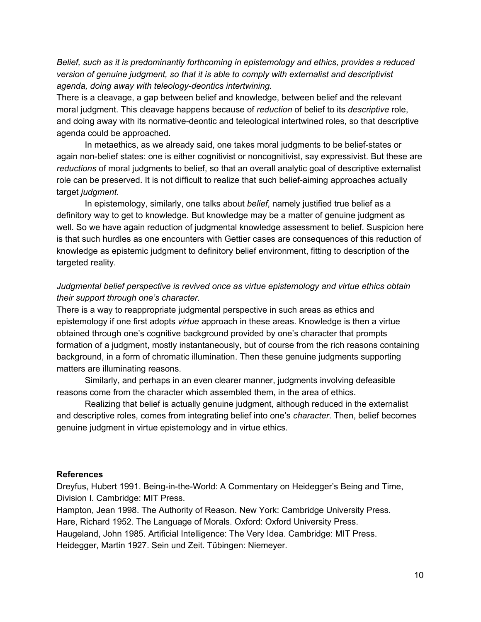*Belief, such as it is predominantly forthcoming in epistemology and ethics, provides a reduced version of genuine judgment, so that it is able to comply with externalist and descriptivist agenda, doing away with teleology-deontics intertwining.*

There is a cleavage, a gap between belief and knowledge, between belief and the relevant moral judgment. This cleavage happens because of *reduction* of belief to its *descriptive* role, and doing away with its normative-deontic and teleological intertwined roles, so that descriptive agenda could be approached.

In metaethics, as we already said, one takes moral judgments to be belief-states or again non-belief states: one is either cognitivist or noncognitivist, say expressivist. But these are *reductions* of moral judgments to belief, so that an overall analytic goal of descriptive externalist role can be preserved. It is not difficult to realize that such belief-aiming approaches actually target *judgment*.

In epistemology, similarly, one talks about *belief*, namely justified true belief as a definitory way to get to knowledge. But knowledge may be a matter of genuine judgment as well. So we have again reduction of judgmental knowledge assessment to belief. Suspicion here is that such hurdles as one encounters with Gettier cases are consequences of this reduction of knowledge as epistemic judgment to definitory belief environment, fitting to description of the targeted reality.

# *Judgmental belief perspective is revived once as virtue epistemology and virtue ethics obtain their support through one's character.*

There is a way to reappropriate judgmental perspective in such areas as ethics and epistemology if one first adopts *virtue* approach in these areas. Knowledge is then a virtue obtained through one's cognitive background provided by one's character that prompts formation of a judgment, mostly instantaneously, but of course from the rich reasons containing background, in a form of chromatic illumination. Then these genuine judgments supporting matters are illuminating reasons.

Similarly, and perhaps in an even clearer manner, judgments involving defeasible reasons come from the character which assembled them, in the area of ethics.

Realizing that belief is actually genuine judgment, although reduced in the externalist and descriptive roles, comes from integrating belief into one's *character*. Then, belief becomes genuine judgment in virtue epistemology and in virtue ethics.

#### **References**

Dreyfus, Hubert 1991. Being-in-the-World: A Commentary on Heidegger's Being and Time, Division I. Cambridge: MIT Press.

Hampton, Jean 1998. The Authority of Reason. New York: Cambridge University Press. Hare, Richard 1952. The Language of Morals. Oxford: Oxford University Press. Haugeland, John 1985. Artificial Intelligence: The Very Idea. Cambridge: MIT Press. Heidegger, Martin 1927. Sein und Zeit. Tűbingen: Niemeyer.